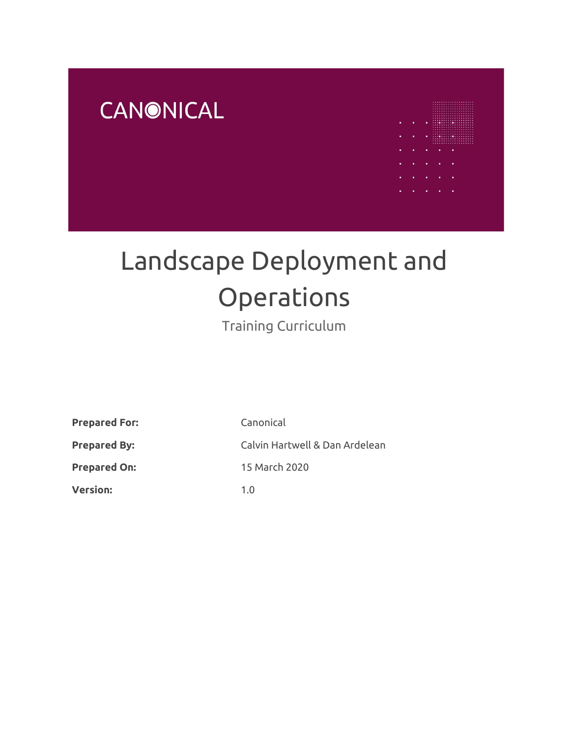



# Landscape Deployment and **Operations**

Training Curriculum

**Prepared For:** Canonical

**Version:** 1.0

**Prepared By:** Calvin Hartwell & Dan Ardelean **Prepared On:** 15 March 2020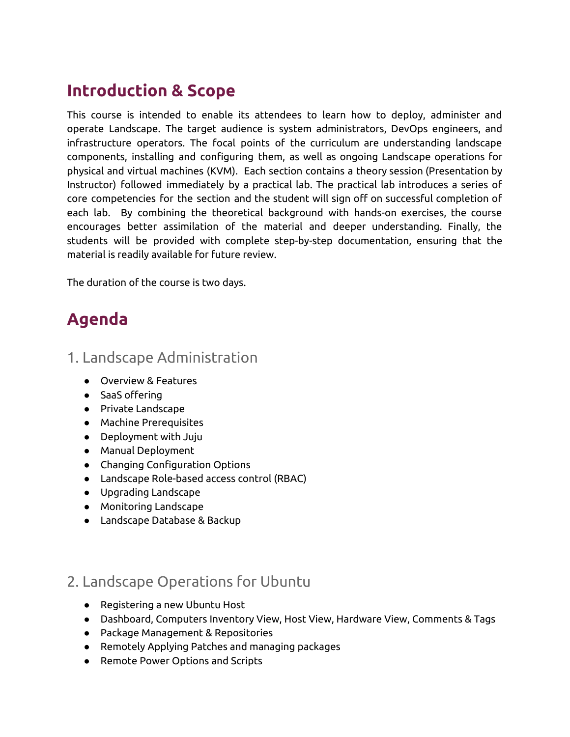## **Introduction & Scope**

This course is intended to enable its attendees to learn how to deploy, administer and operate Landscape. The target audience is system administrators, DevOps engineers, and infrastructure operators. The focal points of the curriculum are understanding landscape components, installing and configuring them, as well as ongoing Landscape operations for physical and virtual machines (KVM). Each section contains a theory session (Presentation by Instructor) followed immediately by a practical lab. The practical lab introduces a series of core competencies for the section and the student will sign off on successful completion of each lab. By combining the theoretical background with hands-on exercises, the course encourages better assimilation of the material and deeper understanding. Finally, the students will be provided with complete step-by-step documentation, ensuring that the material is readily available for future review.

The duration of the course is two days.

# **Agenda**

## 1. Landscape Administration

- Overview & Features
- SaaS offering
- Private Landscape
- Machine Prerequisites
- Deployment with Juju
- Manual Deployment
- Changing Configuration Options
- Landscape Role-based access control (RBAC)
- Upgrading Landscape
- Monitoring Landscape
- Landscape Database & Backup

## 2. Landscape Operations for Ubuntu

- Registering a new Ubuntu Host
- Dashboard, Computers Inventory View, Host View, Hardware View, Comments & Tags
- Package Management & Repositories
- Remotely Applying Patches and managing packages
- Remote Power Options and Scripts